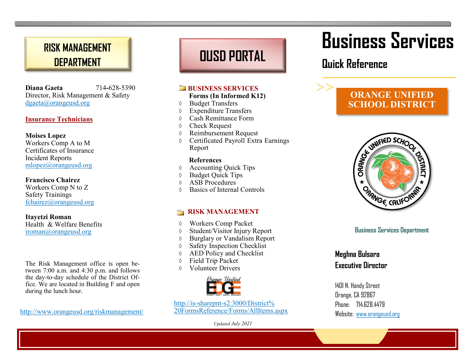### **RISK MANAGEMENT DEPARTMENT**

**Diana Gaeta** 714**-**628-5390 Director, Risk Management & Safety dgaeta@orangeusd.org

#### **Insurance Technicians**

#### **Moises Lopez**

Workers Comp A to M Certificates of Insurance Incident Reports mlopez@orangeusd.org

#### **Francisco Chairez**

Workers Comp N to Z Safety Trainings fchairez@orangeusd.org

**Itayetzi Roman** Health & Welfare Benefits iroman@orangeusd.org

The Risk Management office is open between 7:00 a.m. and 4:30 p.m. and follows the day-to-day schedule of the District Office. We are located in Building F and open during the lunch hour.

http://www.orangeusd.org/riskmanagement/

## **OUSD PORTAL**

#### **BUSINESS SERVICES**

#### **Forms (In Informed K12)**

- Budget Transfers
- Expenditure Transfers
- Cash Remittance Form
- Check Request
- Reimbursement Request
- Certificated Payroll Extra Earnings Report

#### **References**

- Accounting Quick Tips
- Budget Quick Tips
- $\lozenge$  ASB Procedures
- Basics of Internal Controls

#### **RISK MANAGEMENT**

- Workers Comp Packet
- Student/Visitor Injury Report
- Burglary or Vandalism Report
- Safety Inspection Checklist
- AED Policy and Checklist
- Field Trip Packet
- Volunteer Drivers



http://is-sharepnt-s2:3000/District% 20FormsReference/Forms/AllItems.aspx

*Updated July 2021*

# **Business Services**

### **Quick Reference**

 $\gg\gg$ 

### **ORANGE UNIFIED SCHOOL DISTRICT**



#### **Business Services Department**

#### **Meghna Bulsara Executive Director**

1401 N. Handy Street Orange, CA 92867 Phone: 714 678 4479 Website: www.orangeusd.org